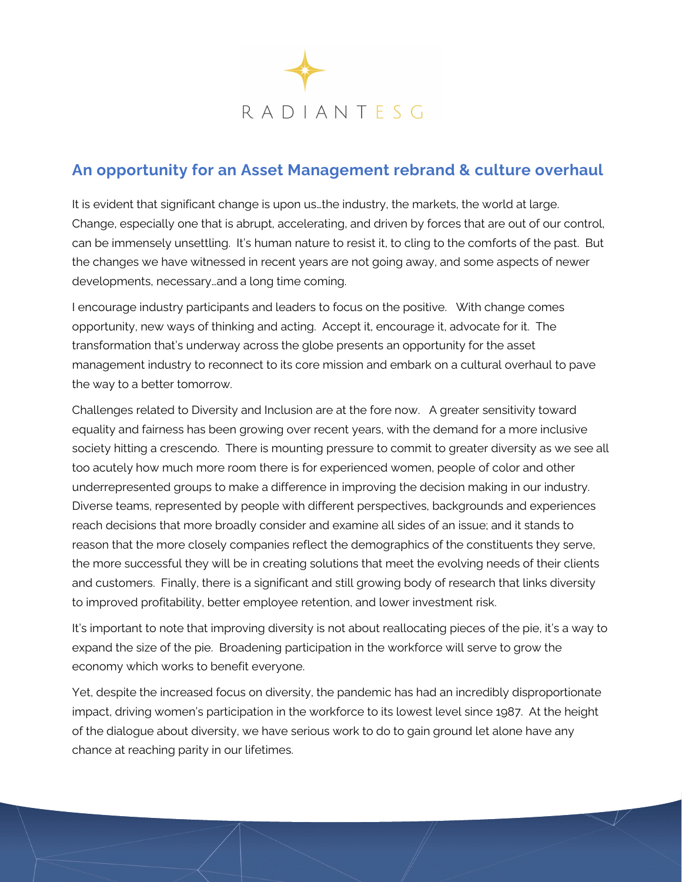

## **An opportunity for an Asset Management rebrand & culture overhaul**

It is evident that significant change is upon us…the industry, the markets, the world at large. Change, especially one that is abrupt, accelerating, and driven by forces that are out of our control, can be immensely unsettling. It's human nature to resist it, to cling to the comforts of the past. But the changes we have witnessed in recent years are not going away, and some aspects of newer developments, necessary…and a long time coming.

I encourage industry participants and leaders to focus on the positive. With change comes opportunity, new ways of thinking and acting. Accept it, encourage it, advocate for it. The transformation that's underway across the globe presents an opportunity for the asset management industry to reconnect to its core mission and embark on a cultural overhaul to pave the way to a better tomorrow.

Challenges related to Diversity and Inclusion are at the fore now. A greater sensitivity toward equality and fairness has been growing over recent years, with the demand for a more inclusive society hitting a crescendo. There is mounting pressure to commit to greater diversity as we see all too acutely how much more room there is for experienced women, people of color and other underrepresented groups to make a difference in improving the decision making in our industry. Diverse teams, represented by people with different perspectives, backgrounds and experiences reach decisions that more broadly consider and examine all sides of an issue; and it stands to reason that the more closely companies reflect the demographics of the constituents they serve, the more successful they will be in creating solutions that meet the evolving needs of their clients and customers. Finally, there is a significant and still growing body of research that links diversity to improved profitability, better employee retention, and lower investment risk.

It's important to note that improving diversity is not about reallocating pieces of the pie, it's a way to expand the size of the pie. Broadening participation in the workforce will serve to grow the economy which works to benefit everyone.

Yet, despite the increased focus on diversity, the pandemic has had an incredibly disproportionate impact, driving women's participation in the workforce to its lowest level since 1987. At the height of the dialogue about diversity, we have serious work to do to gain ground let alone have any chance at reaching parity in our lifetimes.